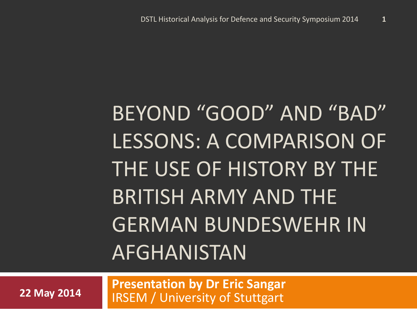# BEYOND "GOOD" AND "BAD" LESSONS: A COMPARISON OF THE USE OF HISTORY BY THE BRITISH ARMY AND THE GERMAN BUNDESWEHR IN AFGHANISTAN

**Presentation by Dr Eric Sangar 22 May 2014 IRSEM / University of Stuttgart**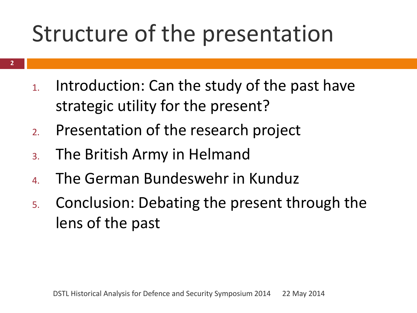### Structure of the presentation

- **2**
- 1. Introduction: Can the study of the past have strategic utility for the present?
- 2. Presentation of the research project
- 3. The British Army in Helmand
- 4. The German Bundeswehr in Kunduz
- 5. Conclusion: Debating the present through the lens of the past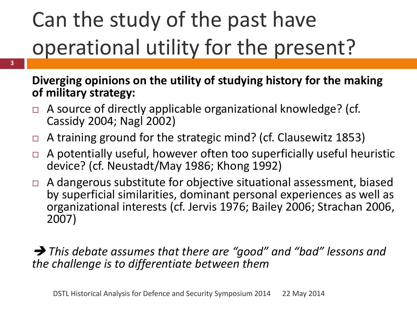## Can the study of the past have operational utility for the present?

#### **Diverging opinions on the utility of studying history for the making of military strategy:**

- $\Box$  A source of directly applicable organizational knowledge? (cf. Cassidy 2004; Nagl 2002)
- $\Box$  A training ground for the strategic mind? (cf. Clausewitz 1853)
- $\Box$  A potentially useful, however often too superficially useful heuristic device? (cf. Neustadt/May 1986; Khong 1992)
- $\Box$  A dangerous substitute for objective situational assessment, biased by superficial similarities, dominant personal experiences as well as organizational interests (cf. Jervis 1976; Bailey 2006; Strachan 2006, 2007)

#### *This debate assumes that there are "good" and "bad" lessons and the challenge is to differentiate between them*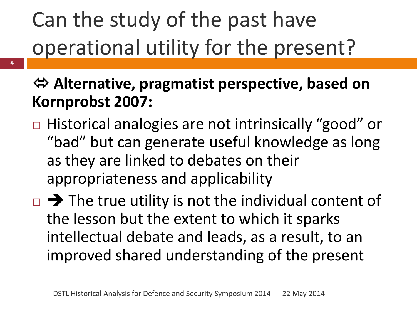## Can the study of the past have operational utility for the present?

- **Alternative, pragmatist perspective, based on Kornprobst 2007:**
- □ Historical analogies are not intrinsically "good" or "bad" but can generate useful knowledge as long as they are linked to debates on their appropriateness and applicability
- $\Box \rightarrow$  The true utility is not the individual content of the lesson but the extent to which it sparks intellectual debate and leads, as a result, to an improved shared understanding of the present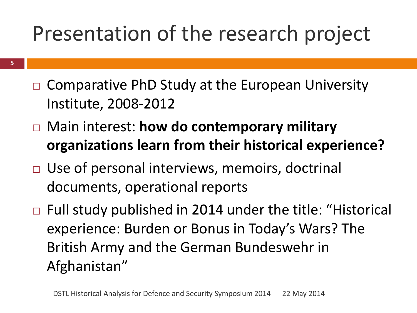#### Presentation of the research project

- $\Box$  Comparative PhD Study at the European University Institute, 2008-2012
- Main interest: **how do contemporary military organizations learn from their historical experience?**
- □ Use of personal interviews, memoirs, doctrinal documents, operational reports
- $\Box$  Full study published in 2014 under the title: "Historical experience: Burden or Bonus in Today's Wars? The British Army and the German Bundeswehr in Afghanistan"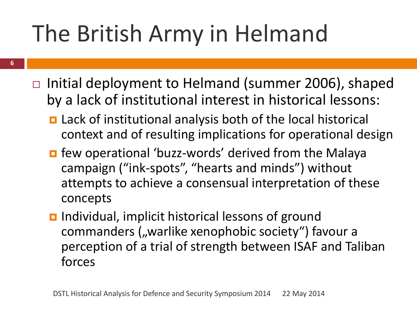## The British Army in Helmand

- **6**
- $\Box$  Initial deployment to Helmand (summer 2006), shaped by a lack of institutional interest in historical lessons:
	- Lack of institutional analysis both of the local historical context and of resulting implications for operational design
	- **n** few operational 'buzz-words' derived from the Malaya campaign ("ink-spots", "hearts and minds") without attempts to achieve a consensual interpretation of these concepts
	- **<u>n</u>** Individual, implicit historical lessons of ground commanders ("warlike xenophobic society") favour a perception of a trial of strength between ISAF and Taliban forces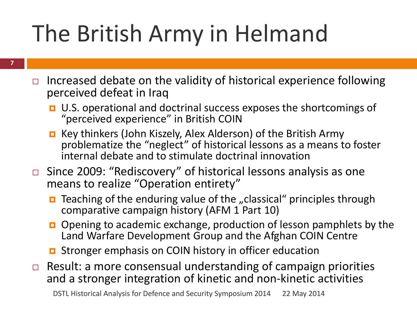## The British Army in Helmand

- **7**
- Increased debate on the validity of historical experience following perceived defeat in Iraq
	- U.S. operational and doctrinal success exposes the shortcomings of "perceived experience" in British COIN
	- Key thinkers (John Kiszely, Alex Alderson) of the British Army problematize the "neglect" of historical lessons as a means to foster internal debate and to stimulate doctrinal innovation
- Since 2009: "Rediscovery" of historical lessons analysis as one means to realize "Operation entirety"
	- $\blacksquare$  Teaching of the enduring value of the "classical" principles through comparative campaign history (AFM 1 Part 10)
	- □ Opening to academic exchange, production of lesson pamphlets by the Land Warfare Development Group and the Afghan COIN Centre
	- **D** Stronger emphasis on COIN history in officer education
- $\Box$  Result: a more consensual understanding of campaign priorities and a stronger integration of kinetic and non-kinetic activities

DSTL Historical Analysis for Defence and Security Symposium 2014 22 May 2014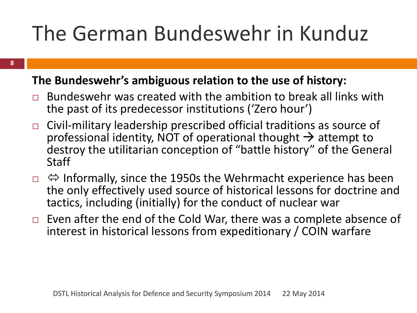#### The German Bundeswehr in Kunduz

#### **The Bundeswehr's ambiguous relation to the use of history:**

- $\Box$  Bundeswehr was created with the ambition to break all links with the past of its predecessor institutions ('Zero hour')
- $\Box$  Civil-military leadership prescribed official traditions as source of professional identity, NOT of operational thought  $\rightarrow$  attempt to destroy the utilitarian conception of "battle history" of the General **Staff**
- $\Box \Leftrightarrow$  Informally, since the 1950s the Wehrmacht experience has been the only effectively used source of historical lessons for doctrine and tactics, including (initially) for the conduct of nuclear war
- $\Box$  Even after the end of the Cold War, there was a complete absence of interest in historical lessons from expeditionary / COIN warfare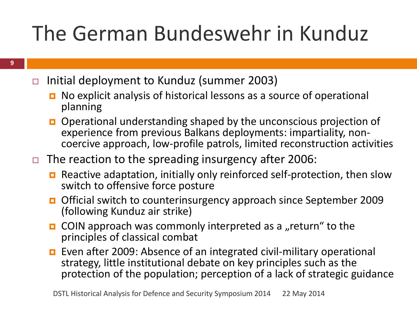#### The German Bundeswehr in Kunduz

- $\Box$  Initial deployment to Kunduz (summer 2003)
	- No explicit analysis of historical lessons as a source of operational planning
	- Operational understanding shaped by the unconscious projection of experience from previous Balkans deployments: impartiality, noncoercive approach, low-profile patrols, limited reconstruction activities
- $\Box$  The reaction to the spreading insurgency after 2006:
	- **E** Reactive adaptation, initially only reinforced self-protection, then slow switch to offensive force posture
	- Official switch to counterinsurgency approach since September 2009 (following Kunduz air strike)
	- **OIN** approach was commonly interpreted as a "return" to the principles of classical combat
	- Even after 2009: Absence of an integrated civil-military operational strategy, little institutional debate on key principles such as the protection of the population; perception of a lack of strategic guidance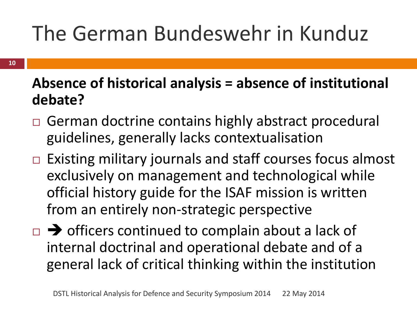### The German Bundeswehr in Kunduz

#### **Absence of historical analysis = absence of institutional debate?**

- □ German doctrine contains highly abstract procedural guidelines, generally lacks contextualisation
- $\Box$  Existing military journals and staff courses focus almost exclusively on management and technological while official history guide for the ISAF mission is written from an entirely non-strategic perspective
- $\Box \rightarrow$  officers continued to complain about a lack of internal doctrinal and operational debate and of a general lack of critical thinking within the institution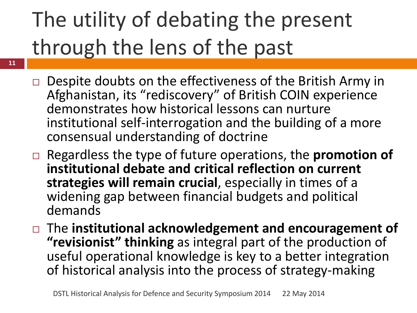## The utility of debating the present through the lens of the past

- $\Box$  Despite doubts on the effectiveness of the British Army in Afghanistan, its "rediscovery" of British COIN experience demonstrates how historical lessons can nurture institutional self-interrogation and the building of a more consensual understanding of doctrine
- Regardless the type of future operations, the **promotion of institutional debate and critical reflection on current strategies will remain crucial**, especially in times of a widening gap between financial budgets and political demands
- The **institutional acknowledgement and encouragement of "revisionist" thinking** as integral part of the production of useful operational knowledge is key to a better integration of historical analysis into the process of strategy-making